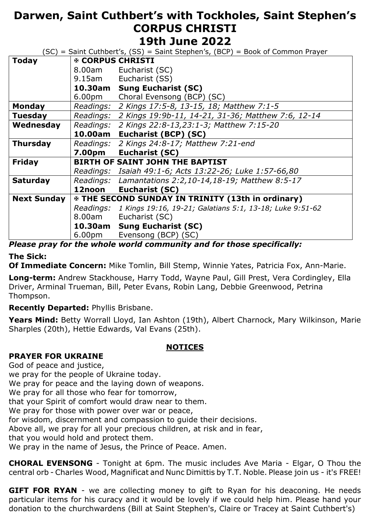# **Darwen, Saint Cuthbert's with Tockholes, Saint Stephen's CORPUS CHRISTI 19th June 2022**

| (SC) = Saint Cuthbert's, (SS) = Saint Stephen's, (BCP) = Book of Common Prayer |                                                            |
|--------------------------------------------------------------------------------|------------------------------------------------------------|
| <b><b><i>®</i></b> CORPUS CHRISTI</b>                                          |                                                            |
| 8.00am                                                                         | Eucharist (SC)                                             |
| 9.15am                                                                         | Eucharist (SS)                                             |
| 10.30am                                                                        | <b>Sung Eucharist (SC)</b>                                 |
| 6.00pm                                                                         | Choral Evensong (BCP) (SC)                                 |
| Readings:                                                                      | 2 Kings 17:5-8, 13-15, 18; Matthew 7:1-5                   |
| Readings:                                                                      | 2 Kings 19:9b-11, 14-21, 31-36; Matthew 7:6, 12-14         |
| Readings:                                                                      | 2 Kings 22:8-13,23:1-3; Matthew 7:15-20                    |
| 10.00am                                                                        | Eucharist (BCP) (SC)                                       |
| Readings:                                                                      | 2 Kings 24:8-17; Matthew 7:21-end                          |
| 7.00pm                                                                         | Eucharist (SC)                                             |
|                                                                                | <b>BIRTH OF SAINT JOHN THE BAPTIST</b>                     |
|                                                                                | Readings: Isaiah 49:1-6; Acts 13:22-26; Luke 1:57-66,80    |
|                                                                                | Readings: Lamantations 2:2,10-14,18-19; Matthew 8:5-17     |
| 12noon                                                                         | <b>Eucharist (SC)</b>                                      |
|                                                                                | <b>EXAMPLE SECOND SUNDAY IN TRINITY (13th in ordinary)</b> |
| Readings:                                                                      | 1 Kings 19:16, 19-21; Galatians 5:1, 13-18; Luke 9:51-62   |
| 8.00am                                                                         | Eucharist (SC)                                             |
| 10.30am                                                                        | <b>Sung Eucharist (SC)</b>                                 |
| 6.00pm                                                                         | Evensong (BCP) (SC)<br>---<br>$\mathbf{r}$<br><br>.<br>. . |
|                                                                                |                                                            |

## *Please pray for the whole world community and for those specifically:*

### **The Sick:**

**Of Immediate Concern:** Mike Tomlin, Bill Stemp, Winnie Yates, Patricia Fox, Ann-Marie.

**Long-term:** Andrew Stackhouse, Harry Todd, Wayne Paul, Gill Prest, Vera Cordingley, Ella Driver, Arminal Trueman, Bill, Peter Evans, Robin Lang, Debbie Greenwood, Petrina Thompson.

### **Recently Departed:** Phyllis Brisbane.

Years Mind: Betty Worrall Lloyd, Ian Ashton (19th), Albert Charnock, Mary Wilkinson, Marie Sharples (20th), Hettie Edwards, Val Evans (25th).

### **NOTICES**

### **PRAYER FOR UKRAINE**

God of peace and justice,

we pray for the people of Ukraine today.

We pray for peace and the laying down of weapons.

We pray for all those who fear for tomorrow,

that your Spirit of comfort would draw near to them.

We pray for those with power over war or peace,

for wisdom, discernment and compassion to guide their decisions.

Above all, we pray for all your precious children, at risk and in fear,

that you would hold and protect them.

We pray in the name of Jesus, the Prince of Peace. Amen.

**CHORAL EVENSONG** - Tonight at 6pm. The music includes Ave Maria - Elgar, O Thou the central orb - Charles Wood, Magnificat and Nunc Dimittis by T.T. Noble. Please join us - it's FREE!

**GIFT FOR RYAN** - we are collecting money to gift to Ryan for his deaconing. He needs particular items for his curacy and it would be lovely if we could help him. Please hand your donation to the churchwardens (Bill at Saint Stephen's, Claire or Tracey at Saint Cuthbert's)